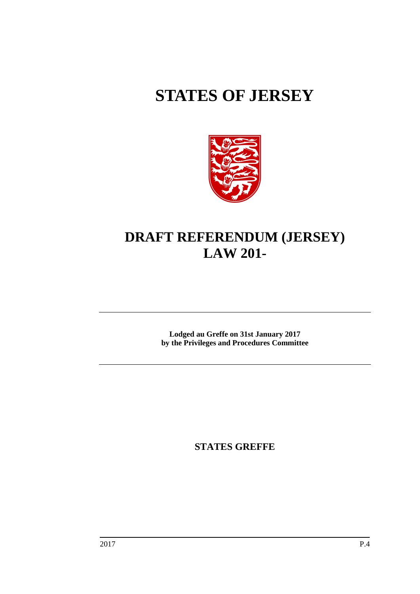# **STATES OF JERSEY**



## **DRAFT REFERENDUM (JERSEY) LAW 201-**

**Lodged au Greffe on 31st January 2017 by the Privileges and Procedures Committee**

**STATES GREFFE**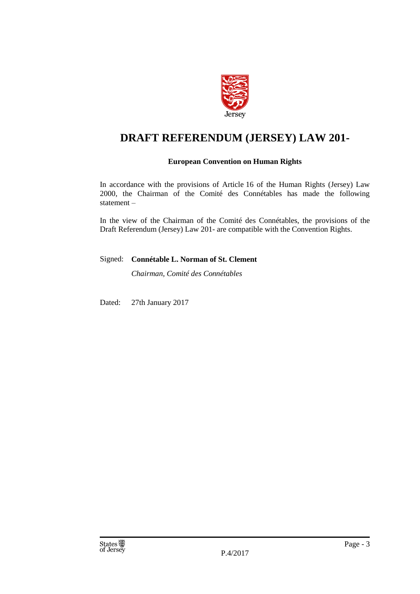

## **DRAFT REFERENDUM (JERSEY) LAW 201-**

## **European Convention on Human Rights**

In accordance with the provisions of Article 16 of the Human Rights (Jersey) Law 2000, the Chairman of the Comité des Connétables has made the following statement –

In the view of the Chairman of the Comité des Connétables, the provisions of the Draft Referendum (Jersey) Law 201- are compatible with the Convention Rights.

#### Signed: **Connétable L. Norman of St. Clement**

*Chairman, Comité des Connétables*

Dated: 27th January 2017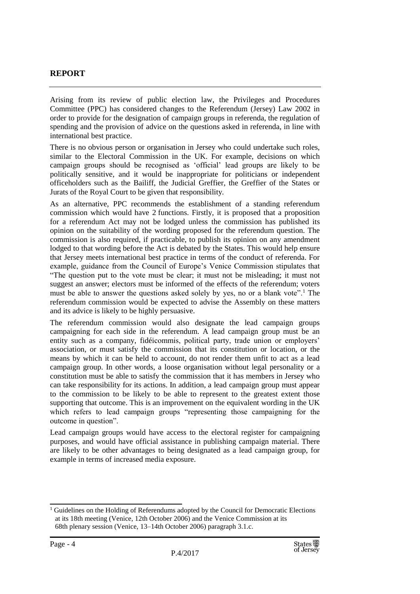## **REPORT**

Arising from its review of public election law, the Privileges and Procedures Committee (PPC) has considered changes to the Referendum (Jersey) Law 2002 in order to provide for the designation of campaign groups in referenda, the regulation of spending and the provision of advice on the questions asked in referenda, in line with international best practice.

There is no obvious person or organisation in Jersey who could undertake such roles, similar to the Electoral Commission in the UK. For example, decisions on which campaign groups should be recognised as 'official' lead groups are likely to be politically sensitive, and it would be inappropriate for politicians or independent officeholders such as the Bailiff, the Judicial Greffier, the Greffier of the States or Jurats of the Royal Court to be given that responsibility.

As an alternative, PPC recommends the establishment of a standing referendum commission which would have 2 functions. Firstly, it is proposed that a proposition for a referendum Act may not be lodged unless the commission has published its opinion on the suitability of the wording proposed for the referendum question. The commission is also required, if practicable, to publish its opinion on any amendment lodged to that wording before the Act is debated by the States. This would help ensure that Jersey meets international best practice in terms of the conduct of referenda. For example, guidance from the Council of Europe's Venice Commission stipulates that "The question put to the vote must be clear; it must not be misleading; it must not suggest an answer; electors must be informed of the effects of the referendum; voters must be able to answer the questions asked solely by yes, no or a blank vote".<sup>1</sup> The referendum commission would be expected to advise the Assembly on these matters and its advice is likely to be highly persuasive.

The referendum commission would also designate the lead campaign groups campaigning for each side in the referendum. A lead campaign group must be an entity such as a company, fidéicommis, political party, trade union or employers' association, or must satisfy the commission that its constitution or location, or the means by which it can be held to account, do not render them unfit to act as a lead campaign group. In other words, a loose organisation without legal personality or a constitution must be able to satisfy the commission that it has members in Jersey who can take responsibility for its actions. In addition, a lead campaign group must appear to the commission to be likely to be able to represent to the greatest extent those supporting that outcome. This is an improvement on the equivalent wording in the UK which refers to lead campaign groups "representing those campaigning for the outcome in question".

Lead campaign groups would have access to the electoral register for campaigning purposes, and would have official assistance in publishing campaign material. There are likely to be other advantages to being designated as a lead campaign group, for example in terms of increased media exposure.

<sup>&</sup>lt;sup>1</sup> Guidelines on the Holding of Referendums adopted by the Council for Democratic Elections at its 18th meeting (Venice, 12th October 2006) and the Venice Commission at its 68th plenary session (Venice, 13–14th October 2006) paragraph 3.1.c.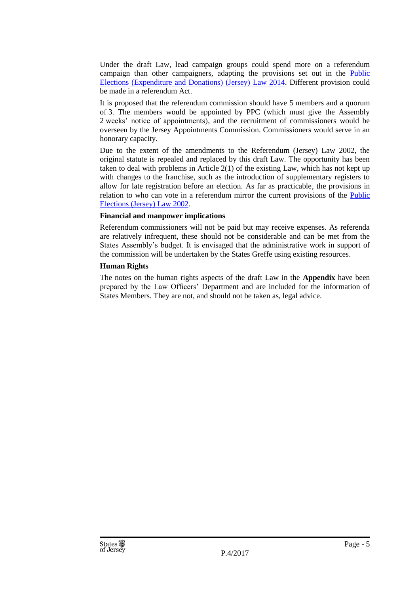Under the draft Law, lead campaign groups could spend more on a referendum campaign than other campaigners, adapting the provisions set out in the [Public](https://www.jerseylaw.je/laws/revised/Pages/16.580.aspx)  [Elections \(Expenditure and Donations\) \(Jersey\) Law 2014.](https://www.jerseylaw.je/laws/revised/Pages/16.580.aspx) Different provision could be made in a referendum Act.

It is proposed that the referendum commission should have 5 members and a quorum of 3. The members would be appointed by PPC (which must give the Assembly 2 weeks' notice of appointments), and the recruitment of commissioners would be overseen by the Jersey Appointments Commission. Commissioners would serve in an honorary capacity.

Due to the extent of the amendments to the Referendum (Jersey) Law 2002, the original statute is repealed and replaced by this draft Law. The opportunity has been taken to deal with problems in Article 2(1) of the existing Law, which has not kept up with changes to the franchise, such as the introduction of supplementary registers to allow for late registration before an election. As far as practicable, the provisions in relation to who can vote in a referendum mirror the current provisions of the Public Elections [\(Jersey\) Law 2002.](https://www.jerseylaw.je/laws/revised/Pages/16.600.aspx)

#### **Financial and manpower implications**

Referendum commissioners will not be paid but may receive expenses. As referenda are relatively infrequent, these should not be considerable and can be met from the States Assembly's budget. It is envisaged that the administrative work in support of the commission will be undertaken by the States Greffe using existing resources.

#### **Human Rights**

The notes on the human rights aspects of the draft Law in the **Appendix** have been prepared by the Law Officers' Department and are included for the information of States Members. They are not, and should not be taken as, legal advice.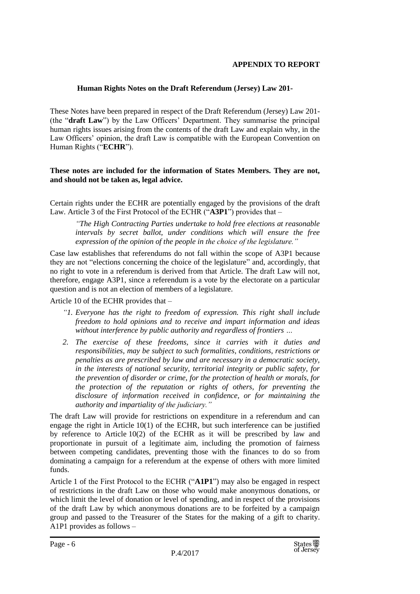#### **APPENDIX TO REPORT**

#### **Human Rights Notes on the Draft Referendum (Jersey) Law 201-**

These Notes have been prepared in respect of the Draft Referendum (Jersey) Law 201- (the "**draft Law**") by the Law Officers' Department. They summarise the principal human rights issues arising from the contents of the draft Law and explain why, in the Law Officers' opinion, the draft Law is compatible with the European Convention on Human Rights ("**ECHR**").

#### **These notes are included for the information of States Members. They are not, and should not be taken as, legal advice.**

Certain rights under the ECHR are potentially engaged by the provisions of the draft Law. Article 3 of the First Protocol of the ECHR ("**A3P1**") provides that –

*"The High Contracting Parties undertake to hold free elections at reasonable intervals by secret ballot, under conditions which will ensure the free expression of the opinion of the people in the choice of the legislature."*

Case law establishes that referendums do not fall within the scope of A3P1 because they are not "elections concerning the choice of the legislature" and, accordingly, that no right to vote in a referendum is derived from that Article. The draft Law will not, therefore, engage A3P1, since a referendum is a vote by the electorate on a particular question and is not an election of members of a legislature.

Article 10 of the ECHR provides that –

- *"1. Everyone has the right to freedom of expression. This right shall include freedom to hold opinions and to receive and impart information and ideas without interference by public authority and regardless of frontiers …*
- *2. The exercise of these freedoms, since it carries with it duties and responsibilities, may be subject to such formalities, conditions, restrictions or penalties as are prescribed by law and are necessary in a democratic society, in the interests of national security, territorial integrity or public safety, for the prevention of disorder or crime, for the protection of health or morals, for the protection of the reputation or rights of others, for preventing the disclosure of information received in confidence, or for maintaining the authority and impartiality of the judiciary."*

The draft Law will provide for restrictions on expenditure in a referendum and can engage the right in Article  $10(1)$  of the ECHR, but such interference can be justified by reference to Article 10(2) of the ECHR as it will be prescribed by law and proportionate in pursuit of a legitimate aim, including the promotion of fairness between competing candidates, preventing those with the finances to do so from dominating a campaign for a referendum at the expense of others with more limited funds.

Article 1 of the First Protocol to the ECHR ("**A1P1**") may also be engaged in respect of restrictions in the draft Law on those who would make anonymous donations, or which limit the level of donation or level of spending, and in respect of the provisions of the draft Law by which anonymous donations are to be forfeited by a campaign group and passed to the Treasurer of the States for the making of a gift to charity. A1P1 provides as follows –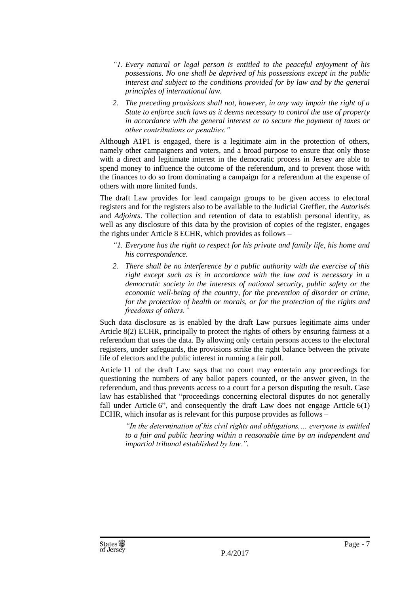- *"1. Every natural or legal person is entitled to the peaceful enjoyment of his possessions. No one shall be deprived of his possessions except in the public interest and subject to the conditions provided for by law and by the general principles of international law.*
- *2. The preceding provisions shall not, however, in any way impair the right of a State to enforce such laws as it deems necessary to control the use of property in accordance with the general interest or to secure the payment of taxes or other contributions or penalties."*

Although A1P1 is engaged, there is a legitimate aim in the protection of others, namely other campaigners and voters, and a broad purpose to ensure that only those with a direct and legitimate interest in the democratic process in Jersey are able to spend money to influence the outcome of the referendum, and to prevent those with the finances to do so from dominating a campaign for a referendum at the expense of others with more limited funds.

The draft Law provides for lead campaign groups to be given access to electoral registers and for the registers also to be available to the Judicial Greffier, the *Autorisés* and *Adjoints*. The collection and retention of data to establish personal identity, as well as any disclosure of this data by the provision of copies of the register, engages the rights under Article 8 ECHR, which provides as follows –

- *"1. Everyone has the right to respect for his private and family life, his home and his correspondence.*
- *2. There shall be no interference by a public authority with the exercise of this right except such as is in accordance with the law and is necessary in a democratic society in the interests of national security, public safety or the economic well-being of the country, for the prevention of disorder or crime, for the protection of health or morals, or for the protection of the rights and freedoms of others."*

Such data disclosure as is enabled by the draft Law pursues legitimate aims under Article 8(2) ECHR, principally to protect the rights of others by ensuring fairness at a referendum that uses the data. By allowing only certain persons access to the electoral registers, under safeguards, the provisions strike the right balance between the private life of electors and the public interest in running a fair poll.

Article 11 of the draft Law says that no court may entertain any proceedings for questioning the numbers of any ballot papers counted, or the answer given, in the referendum, and thus prevents access to a court for a person disputing the result. Case law has established that "proceedings concerning electoral disputes do not generally fall under Article 6", and consequently the draft Law does not engage Article 6(1) ECHR, which insofar as is relevant for this purpose provides as follows –

*"In the determination of his civil rights and obligations,… everyone is entitled to a fair and public hearing within a reasonable time by an independent and impartial tribunal established by law.".*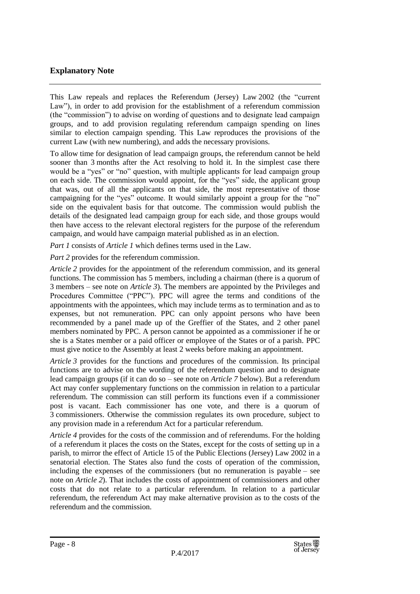## **Explanatory Note**

This Law repeals and replaces the Referendum (Jersey) Law 2002 (the "current Law"), in order to add provision for the establishment of a referendum commission (the "commission") to advise on wording of questions and to designate lead campaign groups, and to add provision regulating referendum campaign spending on lines similar to election campaign spending. This Law reproduces the provisions of the current Law (with new numbering), and adds the necessary provisions.

To allow time for designation of lead campaign groups, the referendum cannot be held sooner than 3 months after the Act resolving to hold it. In the simplest case there would be a "yes" or "no" question, with multiple applicants for lead campaign group on each side. The commission would appoint, for the "yes" side, the applicant group that was, out of all the applicants on that side, the most representative of those campaigning for the "yes" outcome. It would similarly appoint a group for the "no" side on the equivalent basis for that outcome. The commission would publish the details of the designated lead campaign group for each side, and those groups would then have access to the relevant electoral registers for the purpose of the referendum campaign, and would have campaign material published as in an election.

*Part 1* consists of *Article 1* which defines terms used in the Law.

*Part 2* provides for the referendum commission.

*Article 2* provides for the appointment of the referendum commission, and its general functions. The commission has 5 members, including a chairman (there is a quorum of 3 members – see note on *Article 3*). The members are appointed by the Privileges and Procedures Committee ("PPC"). PPC will agree the terms and conditions of the appointments with the appointees, which may include terms as to termination and as to expenses, but not remuneration. PPC can only appoint persons who have been recommended by a panel made up of the Greffier of the States, and 2 other panel members nominated by PPC. A person cannot be appointed as a commissioner if he or she is a States member or a paid officer or employee of the States or of a parish. PPC must give notice to the Assembly at least 2 weeks before making an appointment.

*Article* 3 provides for the functions and procedures of the commission. Its principal functions are to advise on the wording of the referendum question and to designate lead campaign groups (if it can do so – see note on *Article 7* below). But a referendum Act may confer supplementary functions on the commission in relation to a particular referendum. The commission can still perform its functions even if a commissioner post is vacant. Each commissioner has one vote, and there is a quorum of 3 commissioners. Otherwise the commission regulates its own procedure, subject to any provision made in a referendum Act for a particular referendum.

*Article 4* provides for the costs of the commission and of referendums. For the holding of a referendum it places the costs on the States, except for the costs of setting up in a parish, to mirror the effect of Article 15 of the Public Elections (Jersey) Law 2002 in a senatorial election. The States also fund the costs of operation of the commission, including the expenses of the commissioners (but no remuneration is payable – see note on *Article 2*). That includes the costs of appointment of commissioners and other costs that do not relate to a particular referendum. In relation to a particular referendum, the referendum Act may make alternative provision as to the costs of the referendum and the commission.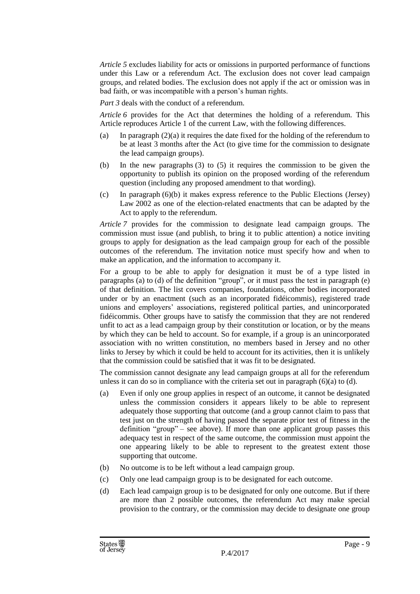*Article 5* excludes liability for acts or omissions in purported performance of functions under this Law or a referendum Act. The exclusion does not cover lead campaign groups, and related bodies. The exclusion does not apply if the act or omission was in bad faith, or was incompatible with a person's human rights.

*Part 3* deals with the conduct of a referendum.

*Article 6* provides for the Act that determines the holding of a referendum. This Article reproduces Article 1 of the current Law, with the following differences.

- (a) In paragraph (2)(a) it requires the date fixed for the holding of the referendum to be at least 3 months after the Act (to give time for the commission to designate the lead campaign groups).
- (b) In the new paragraphs (3) to (5) it requires the commission to be given the opportunity to publish its opinion on the proposed wording of the referendum question (including any proposed amendment to that wording).
- (c) In paragraph (6)(b) it makes express reference to the Public Elections (Jersey) Law 2002 as one of the election-related enactments that can be adapted by the Act to apply to the referendum.

*Article 7* provides for the commission to designate lead campaign groups. The commission must issue (and publish, to bring it to public attention) a notice inviting groups to apply for designation as the lead campaign group for each of the possible outcomes of the referendum. The invitation notice must specify how and when to make an application, and the information to accompany it.

For a group to be able to apply for designation it must be of a type listed in paragraphs (a) to (d) of the definition "group", or it must pass the test in paragraph (e) of that definition. The list covers companies, foundations, other bodies incorporated under or by an enactment (such as an incorporated fidéicommis), registered trade unions and employers' associations, registered political parties, and unincorporated fidéicommis. Other groups have to satisfy the commission that they are not rendered unfit to act as a lead campaign group by their constitution or location, or by the means by which they can be held to account. So for example, if a group is an unincorporated association with no written constitution, no members based in Jersey and no other links to Jersey by which it could be held to account for its activities, then it is unlikely that the commission could be satisfied that it was fit to be designated.

The commission cannot designate any lead campaign groups at all for the referendum unless it can do so in compliance with the criteria set out in paragraph (6)(a) to (d).

- (a) Even if only one group applies in respect of an outcome, it cannot be designated unless the commission considers it appears likely to be able to represent adequately those supporting that outcome (and a group cannot claim to pass that test just on the strength of having passed the separate prior test of fitness in the definition "group" – see above). If more than one applicant group passes this adequacy test in respect of the same outcome, the commission must appoint the one appearing likely to be able to represent to the greatest extent those supporting that outcome.
- (b) No outcome is to be left without a lead campaign group.
- (c) Only one lead campaign group is to be designated for each outcome.
- (d) Each lead campaign group is to be designated for only one outcome. But if there are more than 2 possible outcomes, the referendum Act may make special provision to the contrary, or the commission may decide to designate one group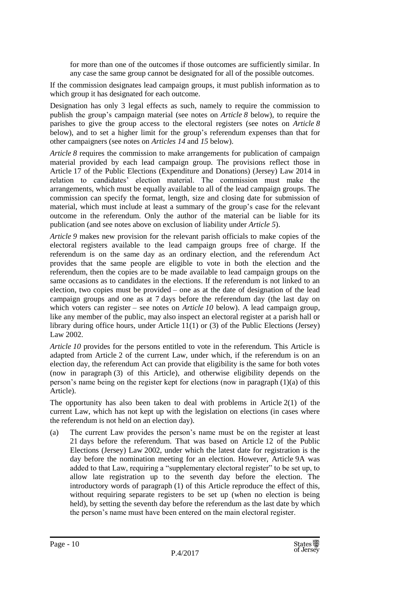for more than one of the outcomes if those outcomes are sufficiently similar. In any case the same group cannot be designated for all of the possible outcomes.

If the commission designates lead campaign groups, it must publish information as to which group it has designated for each outcome.

Designation has only 3 legal effects as such, namely to require the commission to publish the group's campaign material (see notes on *Article 8* below), to require the parishes to give the group access to the electoral registers (see notes on *Article 8* below), and to set a higher limit for the group's referendum expenses than that for other campaigners (see notes on *Articles 14* and *15* below).

*Article 8* requires the commission to make arrangements for publication of campaign material provided by each lead campaign group. The provisions reflect those in Article 17 of the Public Elections (Expenditure and Donations) (Jersey) Law 2014 in relation to candidates' election material. The commission must make the arrangements, which must be equally available to all of the lead campaign groups. The commission can specify the format, length, size and closing date for submission of material, which must include at least a summary of the group's case for the relevant outcome in the referendum. Only the author of the material can be liable for its publication (and see notes above on exclusion of liability under *Article 5*).

*Article 9* makes new provision for the relevant parish officials to make copies of the electoral registers available to the lead campaign groups free of charge. If the referendum is on the same day as an ordinary election, and the referendum Act provides that the same people are eligible to vote in both the election and the referendum, then the copies are to be made available to lead campaign groups on the same occasions as to candidates in the elections. If the referendum is not linked to an election, two copies must be provided – one as at the date of designation of the lead campaign groups and one as at 7 days before the referendum day (the last day on which voters can register – see notes on *Article 10* below). A lead campaign group, like any member of the public, may also inspect an electoral register at a parish hall or library during office hours, under Article 11(1) or (3) of the Public Elections (Jersey) Law 2002.

*Article 10* provides for the persons entitled to vote in the referendum. This Article is adapted from Article 2 of the current Law, under which, if the referendum is on an election day, the referendum Act can provide that eligibility is the same for both votes (now in paragraph (3) of this Article), and otherwise eligibility depends on the person's name being on the register kept for elections (now in paragraph (1)(a) of this Article).

The opportunity has also been taken to deal with problems in Article  $2(1)$  of the current Law, which has not kept up with the legislation on elections (in cases where the referendum is not held on an election day).

(a) The current Law provides the person's name must be on the register at least 21 days before the referendum. That was based on Article 12 of the Public Elections (Jersey) Law 2002, under which the latest date for registration is the day before the nomination meeting for an election. However, Article 9A was added to that Law, requiring a "supplementary electoral register" to be set up, to allow late registration up to the seventh day before the election. The introductory words of paragraph (1) of this Article reproduce the effect of this, without requiring separate registers to be set up (when no election is being held), by setting the seventh day before the referendum as the last date by which the person's name must have been entered on the main electoral register.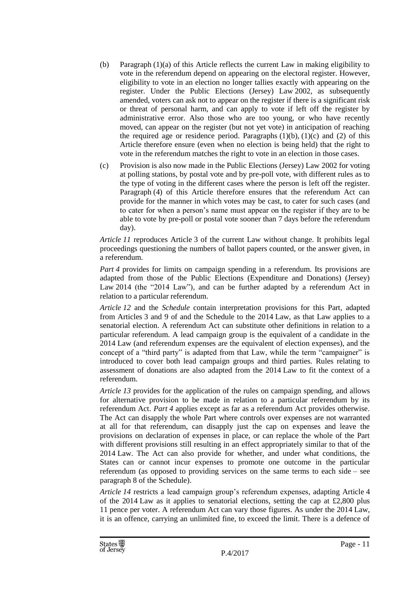- (b) Paragraph (1)(a) of this Article reflects the current Law in making eligibility to vote in the referendum depend on appearing on the electoral register. However, eligibility to vote in an election no longer tallies exactly with appearing on the register. Under the Public Elections (Jersey) Law 2002, as subsequently amended, voters can ask not to appear on the register if there is a significant risk or threat of personal harm, and can apply to vote if left off the register by administrative error. Also those who are too young, or who have recently moved, can appear on the register (but not yet vote) in anticipation of reaching the required age or residence period. Paragraphs  $(1)(b)$ ,  $(1)(c)$  and  $(2)$  of this Article therefore ensure (even when no election is being held) that the right to vote in the referendum matches the right to vote in an election in those cases.
- (c) Provision is also now made in the Public Elections (Jersey) Law 2002 for voting at polling stations, by postal vote and by pre-poll vote, with different rules as to the type of voting in the different cases where the person is left off the register. Paragraph (4) of this Article therefore ensures that the referendum Act can provide for the manner in which votes may be cast, to cater for such cases (and to cater for when a person's name must appear on the register if they are to be able to vote by pre-poll or postal vote sooner than 7 days before the referendum day).

*Article 11* reproduces Article 3 of the current Law without change. It prohibits legal proceedings questioning the numbers of ballot papers counted, or the answer given, in a referendum.

*Part* 4 provides for limits on campaign spending in a referendum. Its provisions are adapted from those of the Public Elections (Expenditure and Donations) (Jersey) Law 2014 (the "2014 Law"), and can be further adapted by a referendum Act in relation to a particular referendum.

*Article 12* and the *Schedule* contain interpretation provisions for this Part, adapted from Articles 3 and 9 of and the Schedule to the 2014 Law, as that Law applies to a senatorial election. A referendum Act can substitute other definitions in relation to a particular referendum. A lead campaign group is the equivalent of a candidate in the 2014 Law (and referendum expenses are the equivalent of election expenses), and the concept of a "third party" is adapted from that Law, while the term "campaigner" is introduced to cover both lead campaign groups and third parties. Rules relating to assessment of donations are also adapted from the 2014 Law to fit the context of a referendum.

*Article 13* provides for the application of the rules on campaign spending, and allows for alternative provision to be made in relation to a particular referendum by its referendum Act. *Part 4* applies except as far as a referendum Act provides otherwise. The Act can disapply the whole Part where controls over expenses are not warranted at all for that referendum, can disapply just the cap on expenses and leave the provisions on declaration of expenses in place, or can replace the whole of the Part with different provisions still resulting in an effect appropriately similar to that of the 2014 Law. The Act can also provide for whether, and under what conditions, the States can or cannot incur expenses to promote one outcome in the particular referendum (as opposed to providing services on the same terms to each side – see paragraph 8 of the Schedule).

*Article 14* restricts a lead campaign group's referendum expenses, adapting Article 4 of the 2014 Law as it applies to senatorial elections, setting the cap at £2,800 plus 11 pence per voter. A referendum Act can vary those figures. As under the 2014 Law, it is an offence, carrying an unlimited fine, to exceed the limit. There is a defence of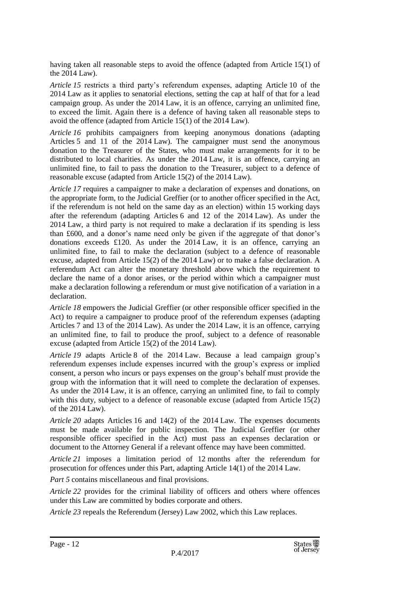having taken all reasonable steps to avoid the offence (adapted from Article 15(1) of the 2014 Law).

*Article 15* restricts a third party's referendum expenses, adapting Article 10 of the 2014 Law as it applies to senatorial elections, setting the cap at half of that for a lead campaign group. As under the 2014 Law, it is an offence, carrying an unlimited fine, to exceed the limit. Again there is a defence of having taken all reasonable steps to avoid the offence (adapted from Article 15(1) of the 2014 Law).

*Article 16* prohibits campaigners from keeping anonymous donations (adapting Articles 5 and 11 of the 2014 Law). The campaigner must send the anonymous donation to the Treasurer of the States, who must make arrangements for it to be distributed to local charities. As under the 2014 Law, it is an offence, carrying an unlimited fine, to fail to pass the donation to the Treasurer, subject to a defence of reasonable excuse (adapted from Article 15(2) of the 2014 Law).

*Article 17* requires a campaigner to make a declaration of expenses and donations, on the appropriate form, to the Judicial Greffier (or to another officer specified in the Act, if the referendum is not held on the same day as an election) within 15 working days after the referendum (adapting Articles 6 and 12 of the 2014 Law). As under the 2014 Law, a third party is not required to make a declaration if its spending is less than £600, and a donor's name need only be given if the aggregate of that donor's donations exceeds £120. As under the 2014 Law, it is an offence, carrying an unlimited fine, to fail to make the declaration (subject to a defence of reasonable excuse, adapted from Article 15(2) of the 2014 Law) or to make a false declaration. A referendum Act can alter the monetary threshold above which the requirement to declare the name of a donor arises, or the period within which a campaigner must make a declaration following a referendum or must give notification of a variation in a declaration.

*Article 18* empowers the Judicial Greffier (or other responsible officer specified in the Act) to require a campaigner to produce proof of the referendum expenses (adapting Articles 7 and 13 of the 2014 Law). As under the 2014 Law, it is an offence, carrying an unlimited fine, to fail to produce the proof, subject to a defence of reasonable excuse (adapted from Article 15(2) of the 2014 Law).

*Article 19* adapts Article 8 of the 2014 Law. Because a lead campaign group's referendum expenses include expenses incurred with the group's express or implied consent, a person who incurs or pays expenses on the group's behalf must provide the group with the information that it will need to complete the declaration of expenses. As under the 2014 Law, it is an offence, carrying an unlimited fine, to fail to comply with this duty, subject to a defence of reasonable excuse (adapted from Article 15(2) of the 2014 Law).

*Article 20* adapts Articles 16 and 14(2) of the 2014 Law. The expenses documents must be made available for public inspection. The Judicial Greffier (or other responsible officer specified in the Act) must pass an expenses declaration or document to the Attorney General if a relevant offence may have been committed.

*Article 21* imposes a limitation period of 12 months after the referendum for prosecution for offences under this Part, adapting Article 14(1) of the 2014 Law.

*Part 5* contains miscellaneous and final provisions.

*Article 22* provides for the criminal liability of officers and others where offences under this Law are committed by bodies corporate and others.

*Article 23* repeals the Referendum (Jersey) Law 2002, which this Law replaces.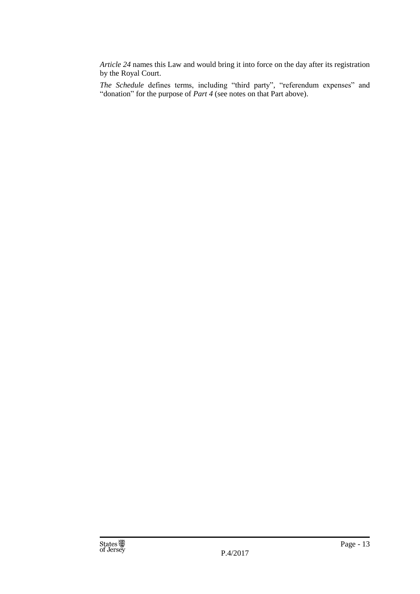*Article 24* names this Law and would bring it into force on the day after its registration by the Royal Court.

*The Schedule* defines terms, including "third party", "referendum expenses" and "donation" for the purpose of *Part 4* (see notes on that Part above).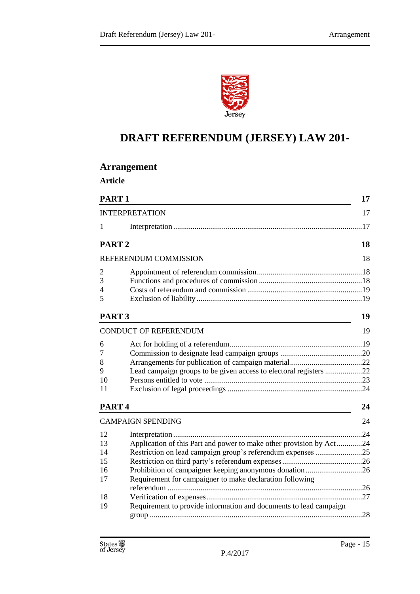

## **DRAFT REFERENDUM (JERSEY) LAW 201-**

| <b>Arrangement</b>           |                                                                     |    |
|------------------------------|---------------------------------------------------------------------|----|
| <b>Article</b>               |                                                                     |    |
| PART <sub>1</sub>            |                                                                     | 17 |
| <b>INTERPRETATION</b>        |                                                                     | 17 |
| 1                            |                                                                     |    |
| PART <sub>2</sub>            |                                                                     | 18 |
| REFERENDUM COMMISSION        |                                                                     | 18 |
| 2                            |                                                                     |    |
| 3                            |                                                                     |    |
| 4                            |                                                                     |    |
| 5                            |                                                                     |    |
| PART <sub>3</sub>            |                                                                     | 19 |
| <b>CONDUCT OF REFERENDUM</b> |                                                                     | 19 |
| 6                            |                                                                     |    |
| 7                            |                                                                     |    |
| 8                            |                                                                     |    |
| 9                            | Lead campaign groups to be given access to electoral registers 22   |    |
| 10                           |                                                                     |    |
| 11                           |                                                                     |    |
| PART <sub>4</sub>            |                                                                     | 24 |
|                              | <b>CAMPAIGN SPENDING</b>                                            | 24 |
| 12                           |                                                                     |    |
| 13                           | Application of this Part and power to make other provision by Act24 |    |
| 14                           | Restriction on lead campaign group's referendum expenses 25         |    |
| 15                           |                                                                     |    |
| 16                           | Prohibition of campaigner keeping anonymous donation26              |    |
| 17                           | Requirement for campaigner to make declaration following            |    |
|                              |                                                                     |    |
| 18                           |                                                                     |    |
| 19                           | Requirement to provide information and documents to lead campaign   |    |
|                              |                                                                     |    |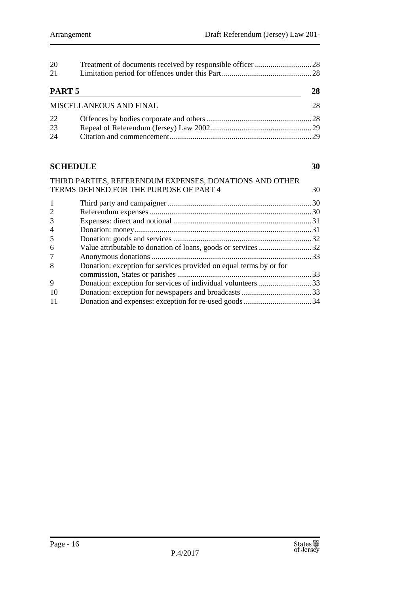| -20                     |  |    |
|-------------------------|--|----|
| 21                      |  |    |
| PART 5                  |  | 28 |
| MISCELLANEOUS AND FINAL |  | 28 |
| 22                      |  |    |
| 23                      |  |    |
| 24                      |  |    |

## **[SCHEDULE](#page-29-0) 30**

|                | THIRD PARTIES, REFERENDUM EXPENSES, DONATIONS AND OTHER            |    |
|----------------|--------------------------------------------------------------------|----|
|                | TERMS DEFINED FOR THE PURPOSE OF PART 4                            | 30 |
| -1             |                                                                    |    |
| 2              |                                                                    |    |
| 3              |                                                                    |    |
| $\overline{4}$ |                                                                    |    |
| 5              |                                                                    |    |
| 6              | Value attributable to donation of loans, goods or services 32      |    |
| 7              |                                                                    |    |
| 8              | Donation: exception for services provided on equal terms by or for |    |
|                |                                                                    |    |
| 9              | Donation: exception for services of individual volunteers 33       |    |
| -10            |                                                                    |    |
| -11            |                                                                    |    |
|                |                                                                    |    |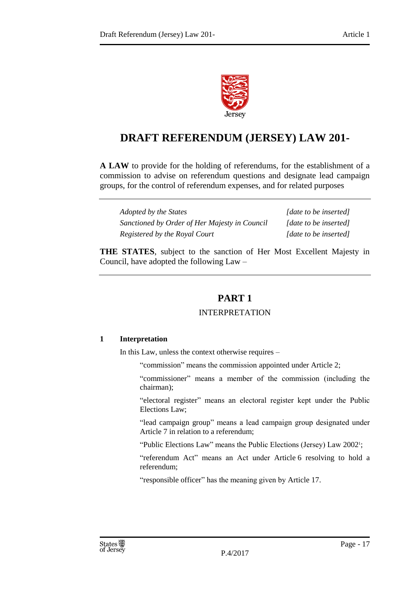

## **DRAFT REFERENDUM (JERSEY) LAW 201-**

**A LAW** to provide for the holding of referendums, for the establishment of a commission to advise on referendum questions and designate lead campaign groups, for the control of referendum expenses, and for related purposes

| Adopted by the States                         | [date to be inserted] |
|-----------------------------------------------|-----------------------|
| Sanctioned by Order of Her Majesty in Council | [date to be inserted] |
| Registered by the Royal Court                 | [date to be inserted] |

<span id="page-16-0"></span>**THE STATES**, subject to the sanction of Her Most Excellent Majesty in Council, have adopted the following Law –

## **PART 1**

## INTERPRETATION

## <span id="page-16-2"></span><span id="page-16-1"></span>**1 Interpretation**

In this Law, unless the context otherwise requires –

"commission" means the commission appointed under Article 2;

"commissioner" means a member of the commission (including the chairman);

"electoral register" means an electoral register kept under the Public Elections Law;

"lead campaign group" means a lead campaign group designated under Article 7 in relation to a referendum;

"Public Elections Law" means the Public Elections (Jersey) Law 2002<sup>1</sup> ;

"referendum Act" means an Act under Article 6 resolving to hold a referendum;

"responsible officer" has the meaning given by Article 17.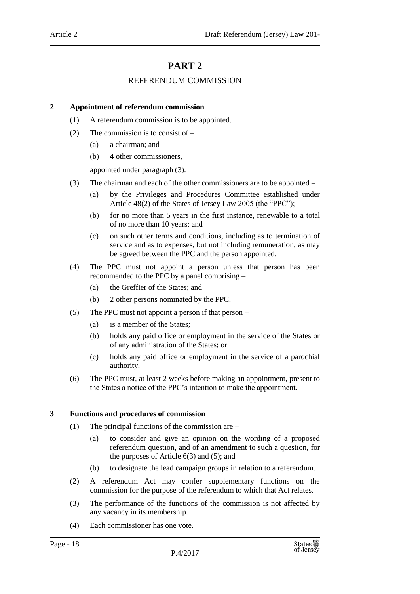## **PART 2**

#### REFERENDUM COMMISSION

#### <span id="page-17-2"></span><span id="page-17-1"></span><span id="page-17-0"></span>**2 Appointment of referendum commission**

- (1) A referendum commission is to be appointed.
- (2) The commission is to consist of  $-$ 
	- (a) a chairman; and
	- (b) 4 other commissioners,

appointed under paragraph (3).

- (3) The chairman and each of the other commissioners are to be appointed
	- (a) by the Privileges and Procedures Committee established under Article 48(2) of the States of Jersey Law 2005 (the "PPC");
	- (b) for no more than 5 years in the first instance, renewable to a total of no more than 10 years; and
	- (c) on such other terms and conditions, including as to termination of service and as to expenses, but not including remuneration, as may be agreed between the PPC and the person appointed.
- (4) The PPC must not appoint a person unless that person has been recommended to the PPC by a panel comprising –
	- (a) the Greffier of the States; and
	- (b) 2 other persons nominated by the PPC.
- (5) The PPC must not appoint a person if that person
	- (a) is a member of the States;
	- (b) holds any paid office or employment in the service of the States or of any administration of the States; or
	- (c) holds any paid office or employment in the service of a parochial authority.
- (6) The PPC must, at least 2 weeks before making an appointment, present to the States a notice of the PPC's intention to make the appointment.

#### <span id="page-17-3"></span>**3 Functions and procedures of commission**

- (1) The principal functions of the commission are
	- (a) to consider and give an opinion on the wording of a proposed referendum question, and of an amendment to such a question, for the purposes of Article  $6(3)$  and  $(5)$ ; and
	- (b) to designate the lead campaign groups in relation to a referendum.
- (2) A referendum Act may confer supplementary functions on the commission for the purpose of the referendum to which that Act relates.
- (3) The performance of the functions of the commission is not affected by any vacancy in its membership.
- (4) Each commissioner has one vote.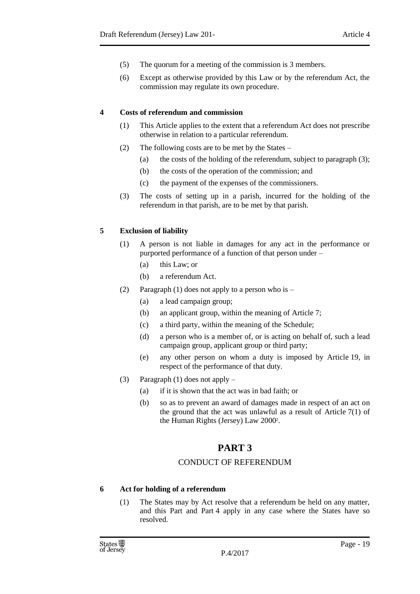- (5) The quorum for a meeting of the commission is 3 members.
- (6) Except as otherwise provided by this Law or by the referendum Act, the commission may regulate its own procedure.

#### <span id="page-18-0"></span>**4 Costs of referendum and commission**

- (1) This Article applies to the extent that a referendum Act does not prescribe otherwise in relation to a particular referendum.
- (2) The following costs are to be met by the States
	- (a) the costs of the holding of the referendum, subject to paragraph (3);
	- (b) the costs of the operation of the commission; and
	- (c) the payment of the expenses of the commissioners.
- (3) The costs of setting up in a parish, incurred for the holding of the referendum in that parish, are to be met by that parish.

## <span id="page-18-1"></span>**5 Exclusion of liability**

- (1) A person is not liable in damages for any act in the performance or purported performance of a function of that person under –
	- (a) this Law; or
	- (b) a referendum Act.
- (2) Paragraph (1) does not apply to a person who is
	- (a) a lead campaign group;
	- (b) an applicant group, within the meaning of Article 7;
	- (c) a third party, within the meaning of the Schedule;
	- (d) a person who is a member of, or is acting on behalf of, such a lead campaign group, applicant group or third party;
	- (e) any other person on whom a duty is imposed by Article 19, in respect of the performance of that duty.
- <span id="page-18-2"></span>(3) Paragraph (1) does not apply –
	- (a) if it is shown that the act was in bad faith; or
	- (b) so as to prevent an award of damages made in respect of an act on the ground that the act was unlawful as a result of Article  $7(1)$  of the Human Rights (Jersey) Law 2000<sup>2</sup>.

## **PART 3**

## CONDUCT OF REFERENDUM

#### <span id="page-18-4"></span><span id="page-18-3"></span>**6 Act for holding of a referendum**

(1) The States may by Act resolve that a referendum be held on any matter, and this Part and Part 4 apply in any case where the States have so resolved.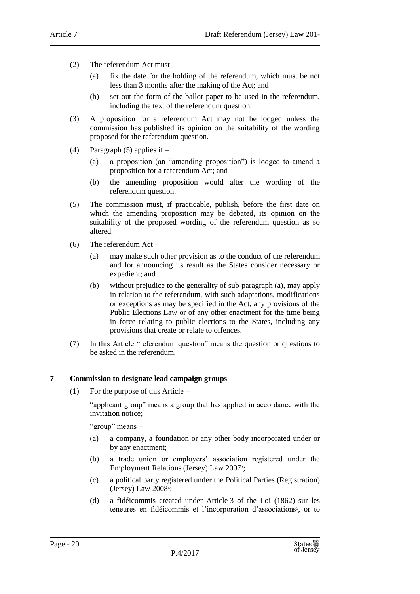- (2) The referendum Act must
	- (a) fix the date for the holding of the referendum, which must be not less than 3 months after the making of the Act; and
	- (b) set out the form of the ballot paper to be used in the referendum, including the text of the referendum question.
- (3) A proposition for a referendum Act may not be lodged unless the commission has published its opinion on the suitability of the wording proposed for the referendum question.
- (4) Paragraph (5) applies if
	- (a) a proposition (an "amending proposition") is lodged to amend a proposition for a referendum Act; and
	- (b) the amending proposition would alter the wording of the referendum question.
- (5) The commission must, if practicable, publish, before the first date on which the amending proposition may be debated, its opinion on the suitability of the proposed wording of the referendum question as so altered.
- (6) The referendum Act
	- (a) may make such other provision as to the conduct of the referendum and for announcing its result as the States consider necessary or expedient; and
	- (b) without prejudice to the generality of sub-paragraph (a), may apply in relation to the referendum, with such adaptations, modifications or exceptions as may be specified in the Act, any provisions of the Public Elections Law or of any other enactment for the time being in force relating to public elections to the States, including any provisions that create or relate to offences.
- (7) In this Article "referendum question" means the question or questions to be asked in the referendum.

#### <span id="page-19-0"></span>**7 Commission to designate lead campaign groups**

(1) For the purpose of this Article –

"applicant group" means a group that has applied in accordance with the invitation notice;

"group" means –

- (a) a company, a foundation or any other body incorporated under or by any enactment;
- (b) a trade union or employers' association registered under the Employment Relations (Jersey) Law 2007<sup>3</sup> ;
- (c) a political party registered under the Political Parties (Registration) (Jersey) Law 2008<sup>4</sup> ;
- (d) a fidéicommis created under Article 3 of the Loi (1862) sur les teneures en fidéicommis et l'incorporation d'associations<sup>5</sup>, or to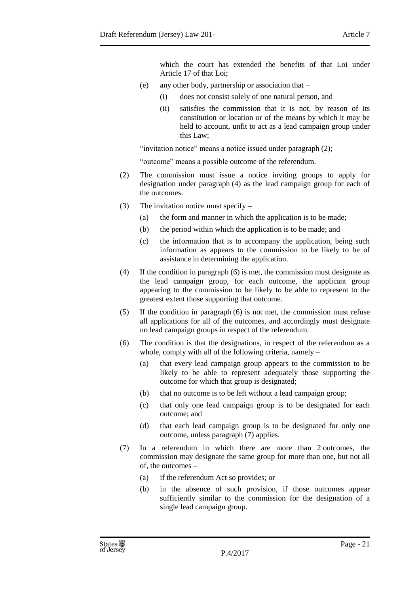which the court has extended the benefits of that Loi under Article 17 of that Loi;

- (e) any other body, partnership or association that
	- (i) does not consist solely of one natural person, and
	- (ii) satisfies the commission that it is not, by reason of its constitution or location or of the means by which it may be held to account, unfit to act as a lead campaign group under this Law;

"invitation notice" means a notice issued under paragraph (2);

"outcome" means a possible outcome of the referendum.

- (2) The commission must issue a notice inviting groups to apply for designation under paragraph (4) as the lead campaign group for each of the outcomes.
- (3) The invitation notice must specify
	- (a) the form and manner in which the application is to be made;
	- (b) the period within which the application is to be made; and
	- (c) the information that is to accompany the application, being such information as appears to the commission to be likely to be of assistance in determining the application.
- (4) If the condition in paragraph (6) is met, the commission must designate as the lead campaign group, for each outcome, the applicant group appearing to the commission to be likely to be able to represent to the greatest extent those supporting that outcome.
- (5) If the condition in paragraph (6) is not met, the commission must refuse all applications for all of the outcomes, and accordingly must designate no lead campaign groups in respect of the referendum.
- (6) The condition is that the designations, in respect of the referendum as a whole, comply with all of the following criteria, namely –
	- (a) that every lead campaign group appears to the commission to be likely to be able to represent adequately those supporting the outcome for which that group is designated;
	- (b) that no outcome is to be left without a lead campaign group;
	- (c) that only one lead campaign group is to be designated for each outcome; and
	- (d) that each lead campaign group is to be designated for only one outcome, unless paragraph (7) applies.
- (7) In a referendum in which there are more than 2 outcomes, the commission may designate the same group for more than one, but not all of, the outcomes –
	- (a) if the referendum Act so provides; or
	- (b) in the absence of such provision, if those outcomes appear sufficiently similar to the commission for the designation of a single lead campaign group.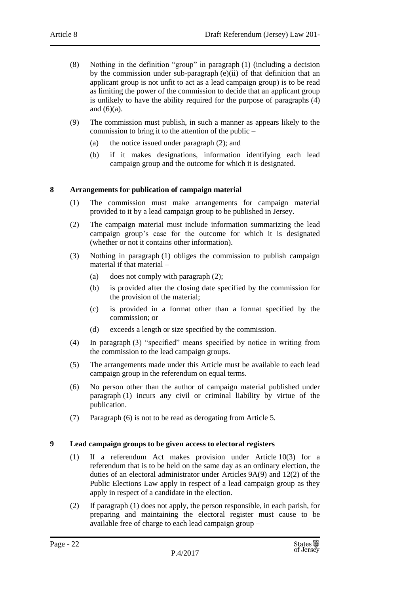- (8) Nothing in the definition "group" in paragraph (1) (including a decision by the commission under sub-paragraph (e)(ii) of that definition that an applicant group is not unfit to act as a lead campaign group) is to be read as limiting the power of the commission to decide that an applicant group is unlikely to have the ability required for the purpose of paragraphs (4) and  $(6)(a)$ .
- (9) The commission must publish, in such a manner as appears likely to the commission to bring it to the attention of the public –
	- (a) the notice issued under paragraph (2); and
	- (b) if it makes designations, information identifying each lead campaign group and the outcome for which it is designated.

#### <span id="page-21-0"></span>**8 Arrangements for publication of campaign material**

- (1) The commission must make arrangements for campaign material provided to it by a lead campaign group to be published in Jersey.
- (2) The campaign material must include information summarizing the lead campaign group's case for the outcome for which it is designated (whether or not it contains other information).
- (3) Nothing in paragraph (1) obliges the commission to publish campaign material if that material –
	- (a) does not comply with paragraph (2);
	- (b) is provided after the closing date specified by the commission for the provision of the material;
	- (c) is provided in a format other than a format specified by the commission; or
	- (d) exceeds a length or size specified by the commission.
- (4) In paragraph (3) "specified" means specified by notice in writing from the commission to the lead campaign groups.
- (5) The arrangements made under this Article must be available to each lead campaign group in the referendum on equal terms.
- (6) No person other than the author of campaign material published under paragraph (1) incurs any civil or criminal liability by virtue of the publication.
- (7) Paragraph (6) is not to be read as derogating from Article 5.

#### <span id="page-21-1"></span>**9 Lead campaign groups to be given access to electoral registers**

- (1) If a referendum Act makes provision under Article 10(3) for a referendum that is to be held on the same day as an ordinary election, the duties of an electoral administrator under Articles 9A(9) and 12(2) of the Public Elections Law apply in respect of a lead campaign group as they apply in respect of a candidate in the election.
- (2) If paragraph (1) does not apply, the person responsible, in each parish, for preparing and maintaining the electoral register must cause to be available free of charge to each lead campaign group –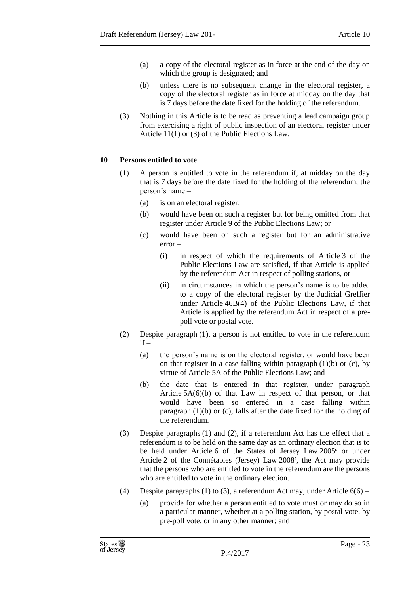- (a) a copy of the electoral register as in force at the end of the day on which the group is designated; and
- (b) unless there is no subsequent change in the electoral register, a copy of the electoral register as in force at midday on the day that is 7 days before the date fixed for the holding of the referendum.
- (3) Nothing in this Article is to be read as preventing a lead campaign group from exercising a right of public inspection of an electoral register under Article 11(1) or (3) of the Public Elections Law.

#### <span id="page-22-0"></span>**10 Persons entitled to vote**

- (1) A person is entitled to vote in the referendum if, at midday on the day that is 7 days before the date fixed for the holding of the referendum, the person's name –
	- (a) is on an electoral register;
	- (b) would have been on such a register but for being omitted from that register under Article 9 of the Public Elections Law; or
	- (c) would have been on such a register but for an administrative error –
		- (i) in respect of which the requirements of Article 3 of the Public Elections Law are satisfied, if that Article is applied by the referendum Act in respect of polling stations, or
		- (ii) in circumstances in which the person's name is to be added to a copy of the electoral register by the Judicial Greffier under Article 46B(4) of the Public Elections Law, if that Article is applied by the referendum Act in respect of a prepoll vote or postal vote.
- (2) Despite paragraph (1), a person is not entitled to vote in the referendum  $if -$ 
	- (a) the person's name is on the electoral register, or would have been on that register in a case falling within paragraph  $(1)(b)$  or  $(c)$ , by virtue of Article 5A of the Public Elections Law; and
	- (b) the date that is entered in that register, under paragraph Article 5A(6)(b) of that Law in respect of that person, or that would have been so entered in a case falling within paragraph (1)(b) or (c), falls after the date fixed for the holding of the referendum.
- (3) Despite paragraphs (1) and (2), if a referendum Act has the effect that a referendum is to be held on the same day as an ordinary election that is to be held under Article 6 of the States of Jersey Law 2005<sup>6</sup> or under Article 2 of the Connétables (Jersey) Law 2008<sup>7</sup> , the Act may provide that the persons who are entitled to vote in the referendum are the persons who are entitled to vote in the ordinary election.
- (4) Despite paragraphs (1) to (3), a referendum Act may, under Article  $6(6)$ 
	- (a) provide for whether a person entitled to vote must or may do so in a particular manner, whether at a polling station, by postal vote, by pre-poll vote, or in any other manner; and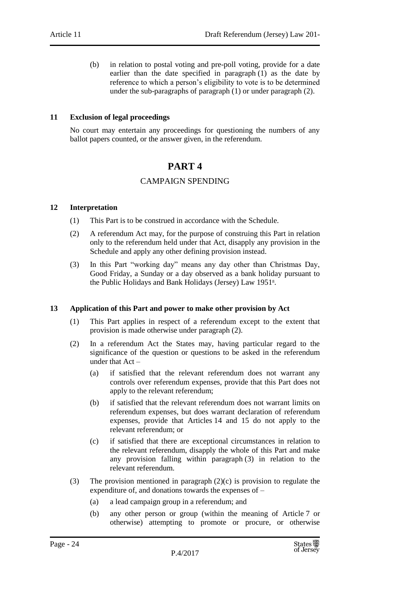(b) in relation to postal voting and pre-poll voting, provide for a date earlier than the date specified in paragraph (1) as the date by reference to which a person's eligibility to vote is to be determined under the sub-paragraphs of paragraph (1) or under paragraph (2).

#### <span id="page-23-0"></span>**11 Exclusion of legal proceedings**

<span id="page-23-1"></span>No court may entertain any proceedings for questioning the numbers of any ballot papers counted, or the answer given, in the referendum.

## **PART 4**

### CAMPAIGN SPENDING

#### <span id="page-23-3"></span><span id="page-23-2"></span>**12 Interpretation**

- (1) This Part is to be construed in accordance with the Schedule.
- (2) A referendum Act may, for the purpose of construing this Part in relation only to the referendum held under that Act, disapply any provision in the Schedule and apply any other defining provision instead.
- (3) In this Part "working day" means any day other than Christmas Day, Good Friday, a Sunday or a day observed as a bank holiday pursuant to the Public Holidays and Bank Holidays (Jersey) Law 1951<sup>8</sup> .

#### <span id="page-23-4"></span>**13 Application of this Part and power to make other provision by Act**

- (1) This Part applies in respect of a referendum except to the extent that provision is made otherwise under paragraph (2).
- (2) In a referendum Act the States may, having particular regard to the significance of the question or questions to be asked in the referendum under that Act –
	- (a) if satisfied that the relevant referendum does not warrant any controls over referendum expenses, provide that this Part does not apply to the relevant referendum;
	- (b) if satisfied that the relevant referendum does not warrant limits on referendum expenses, but does warrant declaration of referendum expenses, provide that Articles 14 and 15 do not apply to the relevant referendum; or
	- (c) if satisfied that there are exceptional circumstances in relation to the relevant referendum, disapply the whole of this Part and make any provision falling within paragraph (3) in relation to the relevant referendum.
- (3) The provision mentioned in paragraph (2)(c) is provision to regulate the expenditure of, and donations towards the expenses of –
	- (a) a lead campaign group in a referendum; and
	- (b) any other person or group (within the meaning of Article 7 or otherwise) attempting to promote or procure, or otherwise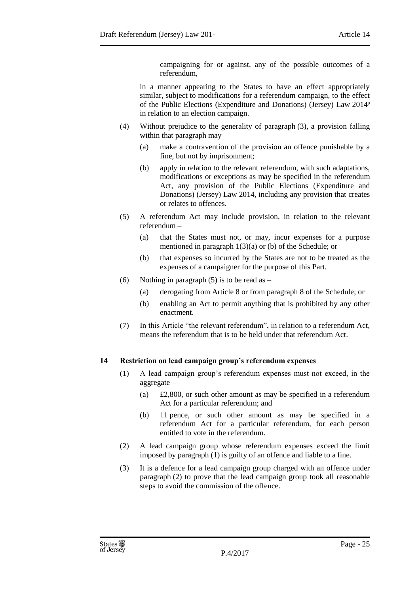campaigning for or against, any of the possible outcomes of a referendum,

in a manner appearing to the States to have an effect appropriately similar, subject to modifications for a referendum campaign, to the effect of the Public Elections (Expenditure and Donations) (Jersey) Law 2014<sup>9</sup> in relation to an election campaign.

- (4) Without prejudice to the generality of paragraph (3), a provision falling within that paragraph may –
	- (a) make a contravention of the provision an offence punishable by a fine, but not by imprisonment;
	- (b) apply in relation to the relevant referendum, with such adaptations, modifications or exceptions as may be specified in the referendum Act, any provision of the Public Elections (Expenditure and Donations) (Jersey) Law 2014, including any provision that creates or relates to offences.
- (5) A referendum Act may include provision, in relation to the relevant referendum –
	- (a) that the States must not, or may, incur expenses for a purpose mentioned in paragraph 1(3)(a) or (b) of the Schedule; or
	- (b) that expenses so incurred by the States are not to be treated as the expenses of a campaigner for the purpose of this Part.
- (6) Nothing in paragraph (5) is to be read as  $-$ 
	- (a) derogating from Article 8 or from paragraph 8 of the Schedule; or
	- (b) enabling an Act to permit anything that is prohibited by any other enactment.
- (7) In this Article "the relevant referendum", in relation to a referendum Act, means the referendum that is to be held under that referendum Act.

#### <span id="page-24-0"></span>**14 Restriction on lead campaign group's referendum expenses**

- (1) A lead campaign group's referendum expenses must not exceed, in the aggregate –
	- (a) £2,800, or such other amount as may be specified in a referendum Act for a particular referendum; and
	- (b) 11 pence, or such other amount as may be specified in a referendum Act for a particular referendum, for each person entitled to vote in the referendum.
- (2) A lead campaign group whose referendum expenses exceed the limit imposed by paragraph (1) is guilty of an offence and liable to a fine.
- (3) It is a defence for a lead campaign group charged with an offence under paragraph (2) to prove that the lead campaign group took all reasonable steps to avoid the commission of the offence.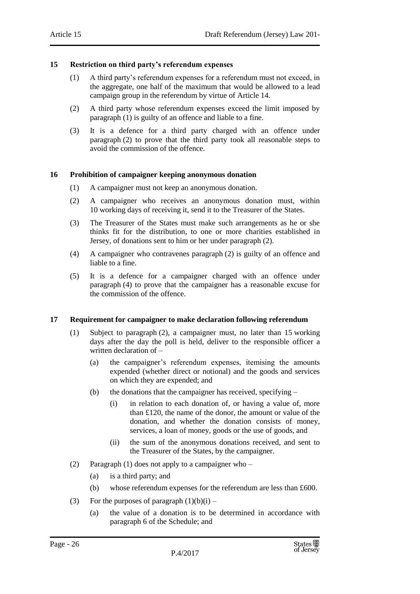#### <span id="page-25-0"></span>**15 Restriction on third party's referendum expenses**

- (1) A third party's referendum expenses for a referendum must not exceed, in the aggregate, one half of the maximum that would be allowed to a lead campaign group in the referendum by virtue of Article 14.
- (2) A third party whose referendum expenses exceed the limit imposed by paragraph (1) is guilty of an offence and liable to a fine.
- (3) It is a defence for a third party charged with an offence under paragraph (2) to prove that the third party took all reasonable steps to avoid the commission of the offence.

#### <span id="page-25-1"></span>**16 Prohibition of campaigner keeping anonymous donation**

- (1) A campaigner must not keep an anonymous donation.
- (2) A campaigner who receives an anonymous donation must, within 10 working days of receiving it, send it to the Treasurer of the States.
- (3) The Treasurer of the States must make such arrangements as he or she thinks fit for the distribution, to one or more charities established in Jersey, of donations sent to him or her under paragraph (2).
- (4) A campaigner who contravenes paragraph (2) is guilty of an offence and liable to a fine.
- (5) It is a defence for a campaigner charged with an offence under paragraph (4) to prove that the campaigner has a reasonable excuse for the commission of the offence.

#### <span id="page-25-2"></span>**17 Requirement for campaigner to make declaration following referendum**

- (1) Subject to paragraph (2), a campaigner must, no later than 15 working days after the day the poll is held, deliver to the responsible officer a written declaration of –
	- (a) the campaigner's referendum expenses, itemising the amounts expended (whether direct or notional) and the goods and services on which they are expended; and
	- (b) the donations that the campaigner has received, specifying
		- (i) in relation to each donation of, or having a value of, more than £120, the name of the donor, the amount or value of the donation, and whether the donation consists of money, services, a loan of money, goods or the use of goods, and
		- (ii) the sum of the anonymous donations received, and sent to the Treasurer of the States, by the campaigner.
- (2) Paragraph (1) does not apply to a campaigner who
	- (a) is a third party; and
	- (b) whose referendum expenses for the referendum are less than £600.
- (3) For the purposes of paragraph  $(1)(b)(i)$ 
	- (a) the value of a donation is to be determined in accordance with paragraph 6 of the Schedule; and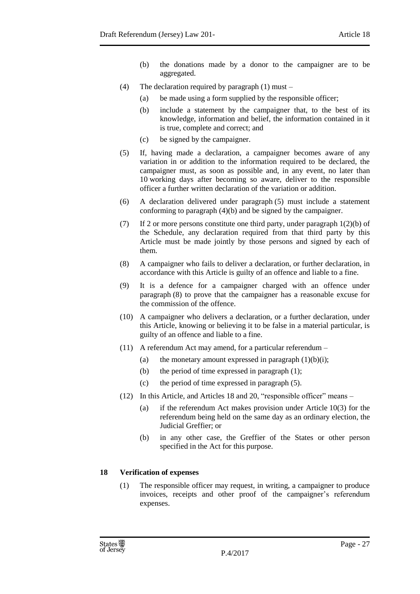- (b) the donations made by a donor to the campaigner are to be aggregated.
- (4) The declaration required by paragraph (1) must
	- (a) be made using a form supplied by the responsible officer;
	- (b) include a statement by the campaigner that, to the best of its knowledge, information and belief, the information contained in it is true, complete and correct; and
	- (c) be signed by the campaigner.
- (5) If, having made a declaration, a campaigner becomes aware of any variation in or addition to the information required to be declared, the campaigner must, as soon as possible and, in any event, no later than 10 working days after becoming so aware, deliver to the responsible officer a further written declaration of the variation or addition.
- (6) A declaration delivered under paragraph (5) must include a statement conforming to paragraph (4)(b) and be signed by the campaigner.
- (7) If 2 or more persons constitute one third party, under paragraph 1(2)(b) of the Schedule, any declaration required from that third party by this Article must be made jointly by those persons and signed by each of them.
- (8) A campaigner who fails to deliver a declaration, or further declaration, in accordance with this Article is guilty of an offence and liable to a fine.
- (9) It is a defence for a campaigner charged with an offence under paragraph (8) to prove that the campaigner has a reasonable excuse for the commission of the offence.
- (10) A campaigner who delivers a declaration, or a further declaration, under this Article, knowing or believing it to be false in a material particular, is guilty of an offence and liable to a fine.
- (11) A referendum Act may amend, for a particular referendum
	- (a) the monetary amount expressed in paragraph  $(1)(b)(i)$ ;
	- (b) the period of time expressed in paragraph (1);
	- (c) the period of time expressed in paragraph (5).
- (12) In this Article, and Articles 18 and 20, "responsible officer" means
	- (a) if the referendum Act makes provision under Article 10(3) for the referendum being held on the same day as an ordinary election, the Judicial Greffier; or
	- (b) in any other case, the Greffier of the States or other person specified in the Act for this purpose.

## <span id="page-26-0"></span>**18 Verification of expenses**

(1) The responsible officer may request, in writing, a campaigner to produce invoices, receipts and other proof of the campaigner's referendum expenses.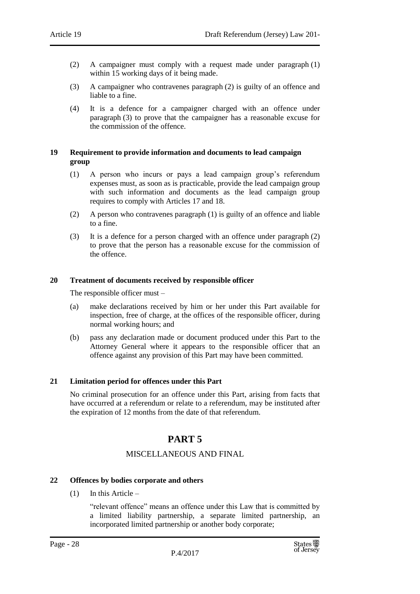- (2) A campaigner must comply with a request made under paragraph (1) within 15 working days of it being made.
- (3) A campaigner who contravenes paragraph (2) is guilty of an offence and liable to a fine.
- (4) It is a defence for a campaigner charged with an offence under paragraph (3) to prove that the campaigner has a reasonable excuse for the commission of the offence.

#### <span id="page-27-0"></span>**19 Requirement to provide information and documents to lead campaign group**

- (1) A person who incurs or pays a lead campaign group's referendum expenses must, as soon as is practicable, provide the lead campaign group with such information and documents as the lead campaign group requires to comply with Articles 17 and 18.
- (2) A person who contravenes paragraph (1) is guilty of an offence and liable to a fine.
- (3) It is a defence for a person charged with an offence under paragraph (2) to prove that the person has a reasonable excuse for the commission of the offence.

#### <span id="page-27-1"></span>**20 Treatment of documents received by responsible officer**

The responsible officer must –

- (a) make declarations received by him or her under this Part available for inspection, free of charge, at the offices of the responsible officer, during normal working hours; and
- (b) pass any declaration made or document produced under this Part to the Attorney General where it appears to the responsible officer that an offence against any provision of this Part may have been committed.

#### <span id="page-27-2"></span>**21 Limitation period for offences under this Part**

<span id="page-27-3"></span>No criminal prosecution for an offence under this Part, arising from facts that have occurred at a referendum or relate to a referendum, may be instituted after the expiration of 12 months from the date of that referendum.

## **PART 5**

#### MISCELLANEOUS AND FINAL

#### <span id="page-27-5"></span><span id="page-27-4"></span>**22 Offences by bodies corporate and others**

 $(1)$  In this Article –

"relevant offence" means an offence under this Law that is committed by a limited liability partnership, a separate limited partnership, an incorporated limited partnership or another body corporate;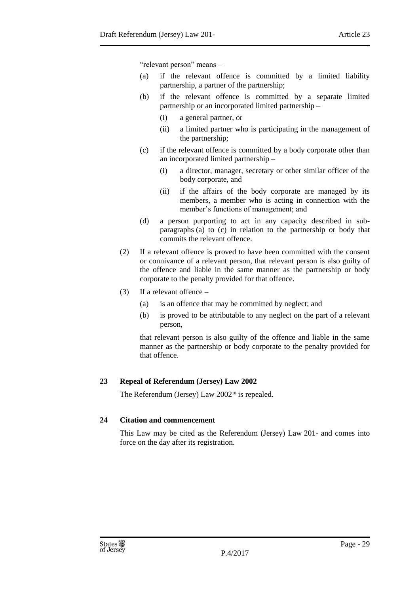"relevant person" means –

- (a) if the relevant offence is committed by a limited liability partnership, a partner of the partnership;
- (b) if the relevant offence is committed by a separate limited partnership or an incorporated limited partnership –
	- (i) a general partner, or
	- (ii) a limited partner who is participating in the management of the partnership;
- (c) if the relevant offence is committed by a body corporate other than an incorporated limited partnership –
	- (i) a director, manager, secretary or other similar officer of the body corporate, and
	- (ii) if the affairs of the body corporate are managed by its members, a member who is acting in connection with the member's functions of management; and
- (d) a person purporting to act in any capacity described in subparagraphs (a) to (c) in relation to the partnership or body that commits the relevant offence.
- (2) If a relevant offence is proved to have been committed with the consent or connivance of a relevant person, that relevant person is also guilty of the offence and liable in the same manner as the partnership or body corporate to the penalty provided for that offence.
- (3) If a relevant offence
	- (a) is an offence that may be committed by neglect; and
	- (b) is proved to be attributable to any neglect on the part of a relevant person,

that relevant person is also guilty of the offence and liable in the same manner as the partnership or body corporate to the penalty provided for that offence.

## <span id="page-28-0"></span>**23 Repeal of Referendum (Jersey) Law 2002**

The Referendum (Jersey) Law 2002<sup>10</sup> is repealed.

#### <span id="page-28-1"></span>**24 Citation and commencement**

This Law may be cited as the Referendum (Jersey) Law 201- and comes into force on the day after its registration.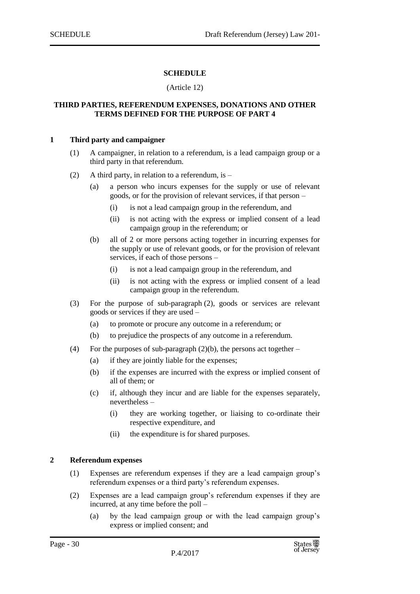#### **SCHEDULE**

#### (Article 12)

#### <span id="page-29-1"></span><span id="page-29-0"></span>**THIRD PARTIES, REFERENDUM EXPENSES, DONATIONS AND OTHER TERMS DEFINED FOR THE PURPOSE OF PART 4**

#### <span id="page-29-2"></span>**1 Third party and campaigner**

- (1) A campaigner, in relation to a referendum, is a lead campaign group or a third party in that referendum.
- (2) A third party, in relation to a referendum, is  $-$ 
	- (a) a person who incurs expenses for the supply or use of relevant goods, or for the provision of relevant services, if that person –
		- (i) is not a lead campaign group in the referendum, and
		- (ii) is not acting with the express or implied consent of a lead campaign group in the referendum; or
	- (b) all of 2 or more persons acting together in incurring expenses for the supply or use of relevant goods, or for the provision of relevant services, if each of those persons –
		- (i) is not a lead campaign group in the referendum, and
		- (ii) is not acting with the express or implied consent of a lead campaign group in the referendum.
- (3) For the purpose of sub-paragraph (2), goods or services are relevant goods or services if they are used –
	- (a) to promote or procure any outcome in a referendum; or
	- (b) to prejudice the prospects of any outcome in a referendum.
- (4) For the purposes of sub-paragraph  $(2)(b)$ , the persons act together
	- (a) if they are jointly liable for the expenses;
	- (b) if the expenses are incurred with the express or implied consent of all of them; or
	- (c) if, although they incur and are liable for the expenses separately, nevertheless –
		- (i) they are working together, or liaising to co-ordinate their respective expenditure, and
		- (ii) the expenditure is for shared purposes.

#### <span id="page-29-3"></span>**2 Referendum expenses**

- (1) Expenses are referendum expenses if they are a lead campaign group's referendum expenses or a third party's referendum expenses.
- (2) Expenses are a lead campaign group's referendum expenses if they are incurred, at any time before the poll –
	- (a) by the lead campaign group or with the lead campaign group's express or implied consent; and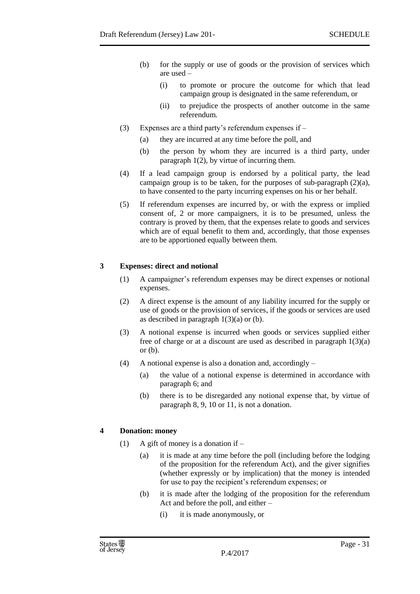- (b) for the supply or use of goods or the provision of services which are used –
	- (i) to promote or procure the outcome for which that lead campaign group is designated in the same referendum, or
	- (ii) to prejudice the prospects of another outcome in the same referendum.
- (3) Expenses are a third party's referendum expenses if
	- (a) they are incurred at any time before the poll, and
	- (b) the person by whom they are incurred is a third party, under paragraph 1(2), by virtue of incurring them.
- (4) If a lead campaign group is endorsed by a political party, the lead campaign group is to be taken, for the purposes of sub-paragraph  $(2)(a)$ , to have consented to the party incurring expenses on his or her behalf.
- (5) If referendum expenses are incurred by, or with the express or implied consent of, 2 or more campaigners, it is to be presumed, unless the contrary is proved by them, that the expenses relate to goods and services which are of equal benefit to them and, accordingly, that those expenses are to be apportioned equally between them.

#### <span id="page-30-0"></span>**3 Expenses: direct and notional**

- (1) A campaigner's referendum expenses may be direct expenses or notional expenses.
- (2) A direct expense is the amount of any liability incurred for the supply or use of goods or the provision of services, if the goods or services are used as described in paragraph  $1(3)(a)$  or (b).
- (3) A notional expense is incurred when goods or services supplied either free of charge or at a discount are used as described in paragraph  $1(3)(a)$ or (b).
- (4) A notional expense is also a donation and, accordingly
	- (a) the value of a notional expense is determined in accordance with paragraph 6; and
	- (b) there is to be disregarded any notional expense that, by virtue of paragraph 8, 9, 10 or 11, is not a donation.

#### <span id="page-30-1"></span>**4 Donation: money**

- (1) A gift of money is a donation if  $-$ 
	- (a) it is made at any time before the poll (including before the lodging of the proposition for the referendum Act), and the giver signifies (whether expressly or by implication) that the money is intended for use to pay the recipient's referendum expenses; or
	- (b) it is made after the lodging of the proposition for the referendum Act and before the poll, and either –
		- (i) it is made anonymously, or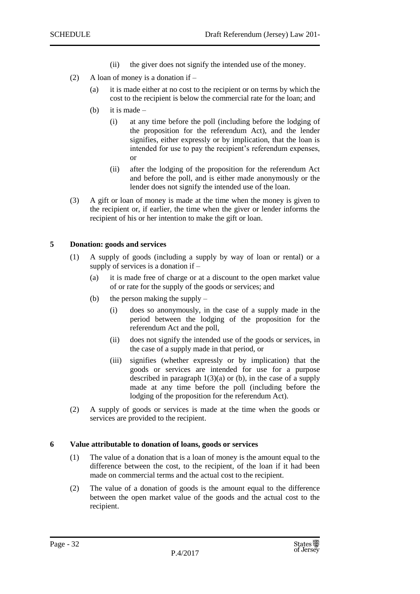- (ii) the giver does not signify the intended use of the money.
- (2) A loan of money is a donation if
	- (a) it is made either at no cost to the recipient or on terms by which the cost to the recipient is below the commercial rate for the loan; and
	- (b) it is made
		- (i) at any time before the poll (including before the lodging of the proposition for the referendum Act), and the lender signifies, either expressly or by implication, that the loan is intended for use to pay the recipient's referendum expenses, or
		- (ii) after the lodging of the proposition for the referendum Act and before the poll, and is either made anonymously or the lender does not signify the intended use of the loan.
- (3) A gift or loan of money is made at the time when the money is given to the recipient or, if earlier, the time when the giver or lender informs the recipient of his or her intention to make the gift or loan.

#### <span id="page-31-0"></span>**5 Donation: goods and services**

- (1) A supply of goods (including a supply by way of loan or rental) or a supply of services is a donation if –
	- (a) it is made free of charge or at a discount to the open market value of or rate for the supply of the goods or services; and
	- (b) the person making the supply
		- (i) does so anonymously, in the case of a supply made in the period between the lodging of the proposition for the referendum Act and the poll,
		- (ii) does not signify the intended use of the goods or services, in the case of a supply made in that period, or
		- (iii) signifies (whether expressly or by implication) that the goods or services are intended for use for a purpose described in paragraph  $1(3)(a)$  or (b), in the case of a supply made at any time before the poll (including before the lodging of the proposition for the referendum Act).
- (2) A supply of goods or services is made at the time when the goods or services are provided to the recipient.

#### <span id="page-31-1"></span>**6 Value attributable to donation of loans, goods or services**

- (1) The value of a donation that is a loan of money is the amount equal to the difference between the cost, to the recipient, of the loan if it had been made on commercial terms and the actual cost to the recipient.
- (2) The value of a donation of goods is the amount equal to the difference between the open market value of the goods and the actual cost to the recipient.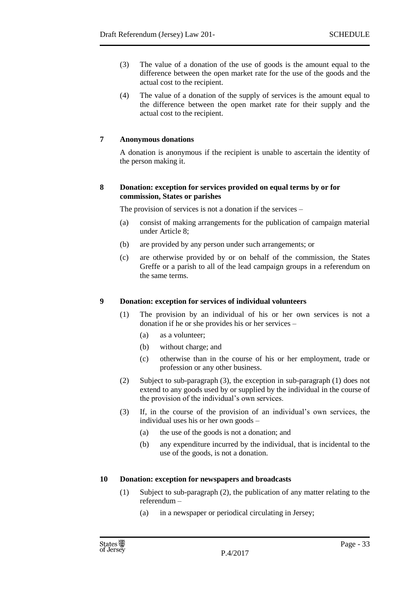- (3) The value of a donation of the use of goods is the amount equal to the difference between the open market rate for the use of the goods and the actual cost to the recipient.
- (4) The value of a donation of the supply of services is the amount equal to the difference between the open market rate for their supply and the actual cost to the recipient.

#### <span id="page-32-0"></span>**7 Anonymous donations**

A donation is anonymous if the recipient is unable to ascertain the identity of the person making it.

#### <span id="page-32-1"></span>**8 Donation: exception for services provided on equal terms by or for commission, States or parishes**

The provision of services is not a donation if the services –

- (a) consist of making arrangements for the publication of campaign material under Article 8;
- (b) are provided by any person under such arrangements; or
- (c) are otherwise provided by or on behalf of the commission, the States Greffe or a parish to all of the lead campaign groups in a referendum on the same terms.

#### <span id="page-32-2"></span>**9 Donation: exception for services of individual volunteers**

- (1) The provision by an individual of his or her own services is not a donation if he or she provides his or her services –
	- (a) as a volunteer;
	- (b) without charge; and
	- (c) otherwise than in the course of his or her employment, trade or profession or any other business.
- (2) Subject to sub-paragraph (3), the exception in sub-paragraph (1) does not extend to any goods used by or supplied by the individual in the course of the provision of the individual's own services.
- (3) If, in the course of the provision of an individual's own services, the individual uses his or her own goods –
	- (a) the use of the goods is not a donation; and
	- (b) any expenditure incurred by the individual, that is incidental to the use of the goods, is not a donation.

#### <span id="page-32-3"></span>**10 Donation: exception for newspapers and broadcasts**

- (1) Subject to sub-paragraph (2), the publication of any matter relating to the referendum –
	- (a) in a newspaper or periodical circulating in Jersey;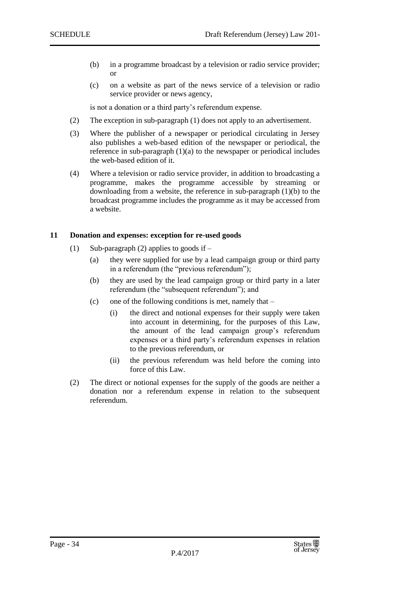- (b) in a programme broadcast by a television or radio service provider; or
- (c) on a website as part of the news service of a television or radio service provider or news agency,

is not a donation or a third party's referendum expense.

- (2) The exception in sub-paragraph (1) does not apply to an advertisement.
- (3) Where the publisher of a newspaper or periodical circulating in Jersey also publishes a web-based edition of the newspaper or periodical, the reference in sub-paragraph  $(1)(a)$  to the newspaper or periodical includes the web-based edition of it.
- (4) Where a television or radio service provider, in addition to broadcasting a programme, makes the programme accessible by streaming or downloading from a website, the reference in sub-paragraph (1)(b) to the broadcast programme includes the programme as it may be accessed from a website.

#### <span id="page-33-0"></span>**11 Donation and expenses: exception for re-used goods**

- (1) Sub-paragraph (2) applies to goods if
	- (a) they were supplied for use by a lead campaign group or third party in a referendum (the "previous referendum");
	- (b) they are used by the lead campaign group or third party in a later referendum (the "subsequent referendum"); and
	- (c) one of the following conditions is met, namely that  $-$ 
		- (i) the direct and notional expenses for their supply were taken into account in determining, for the purposes of this Law, the amount of the lead campaign group's referendum expenses or a third party's referendum expenses in relation to the previous referendum, or
		- (ii) the previous referendum was held before the coming into force of this Law.
- (2) The direct or notional expenses for the supply of the goods are neither a donation nor a referendum expense in relation to the subsequent referendum.